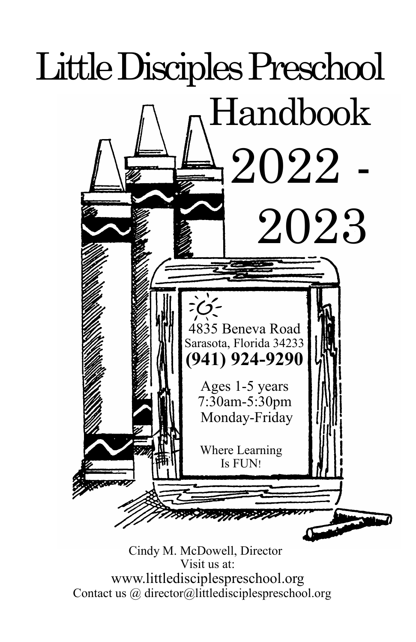

 Cindy M. McDowell, Director Visit us at: www.littledisciplespreschool.org Contact us @ director@littledisciplespreschool.org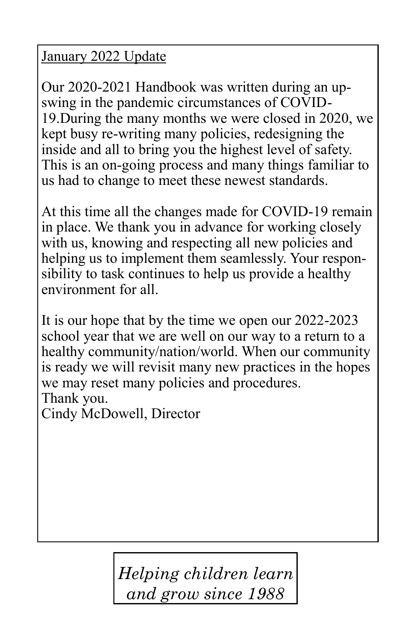#### January 2022 Update

Our 2020-2021 Handbook was written during an upswing in the pandemic circumstances of COVID-19.During the many months we were closed in 2020, we kept busy re-writing many policies, redesigning the inside and all to bring you the highest level of safety. This is an on-going process and many things familiar to us had to change to meet these newest standards.

At this time all the changes made for COVID-19 remain in place. We thank you in advance for working closely with us, knowing and respecting all new policies and helping us to implement them seamlessly. Your responsibility to task continues to help us provide a healthy environment for all.

It is our hope that by the time we open our 2022-2023 school year that we are well on our way to a return to a healthy community/nation/world. When our community is ready we will revisit many new practices in the hopes we may reset many policies and procedures. Thank you.

Cindy McDowell, Director

*Helping children learn and grow since 1988*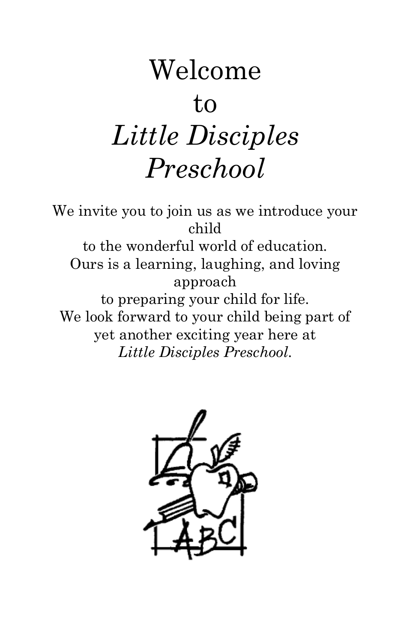# Welcome to *Little Disciples Preschool*

We invite you to join us as we introduce your child to the wonderful world of education. Ours is a learning, laughing, and loving approach to preparing your child for life. We look forward to your child being part of yet another exciting year here at *Little Disciples Preschool*.

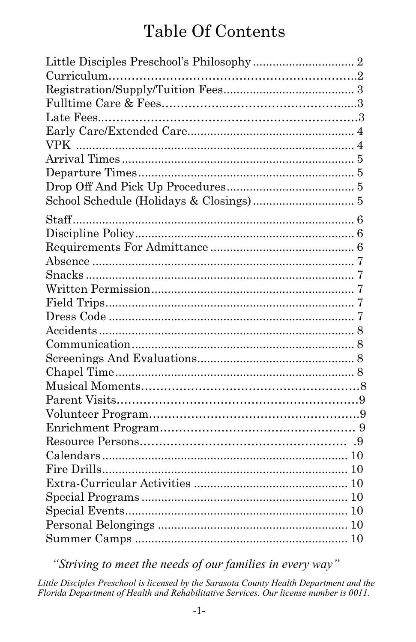## **Table Of Contents**

"Striving to meet the needs of our families in every way"

Little Disciples Preschool is licensed by the Sarasota County Health Department and the Florida Department of Health and Rehabilitative Services. Our license number is 0011.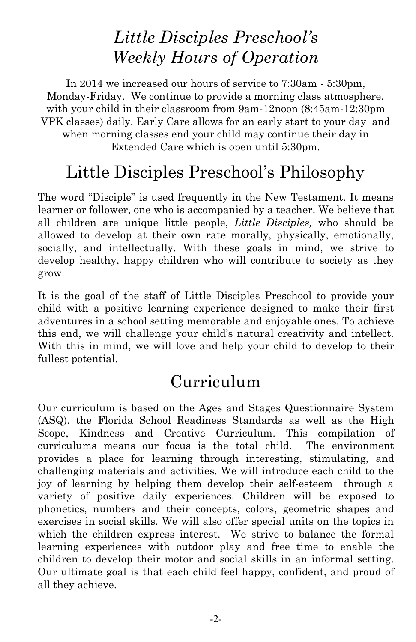## *Little Disciples Preschool's Weekly Hours of Operation*

In 2014 we increased our hours of service to 7:30am - 5:30pm, Monday-Friday. We continue to provide a morning class atmosphere, with your child in their classroom from 9am-12noon (8:45am-12:30pm VPK classes) daily. Early Care allows for an early start to your day and when morning classes end your child may continue their day in Extended Care which is open until 5:30pm.

## Little Disciples Preschool's Philosophy

The word "Disciple" is used frequently in the New Testament. It means learner or follower, one who is accompanied by a teacher. We believe that all children are unique little people, *Little Disciples,* who should be allowed to develop at their own rate morally, physically, emotionally, socially, and intellectually. With these goals in mind, we strive to develop healthy, happy children who will contribute to society as they grow.

It is the goal of the staff of Little Disciples Preschool to provide your child with a positive learning experience designed to make their first adventures in a school setting memorable and enjoyable ones. To achieve this end, we will challenge your child's natural creativity and intellect. With this in mind, we will love and help your child to develop to their fullest potential.

### Curriculum

Our curriculum is based on the Ages and Stages Questionnaire System (ASQ), the Florida School Readiness Standards as well as the High Scope, Kindness and Creative Curriculum. This compilation of curriculums means our focus is the total child. The environment provides a place for learning through interesting, stimulating, and challenging materials and activities. We will introduce each child to the joy of learning by helping them develop their self-esteem through a variety of positive daily experiences. Children will be exposed to phonetics, numbers and their concepts, colors, geometric shapes and exercises in social skills. We will also offer special units on the topics in which the children express interest. We strive to balance the formal learning experiences with outdoor play and free time to enable the children to develop their motor and social skills in an informal setting. Our ultimate goal is that each child feel happy, confident, and proud of all they achieve.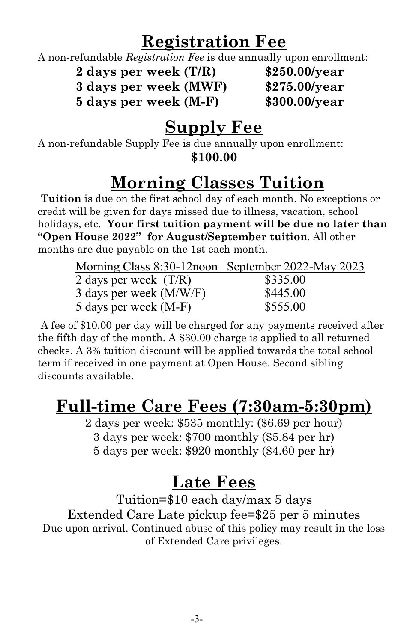## **Registration Fee**

A non-refundable *Registration Fee* is due annually upon enrollment:

**2 days per week (T/R) \$250.00/year**

**3 days per week (MWF) \$275.00/year**

**5 days per week (M-F) \$300.00/year**

## **Supply Fee**

A non-refundable Supply Fee is due annually upon enrollment: **\$100.00** 

## **Morning Classes Tuition**

**Tuition** is due on the first school day of each month. No exceptions or credit will be given for days missed due to illness, vacation, school holidays, etc. **Your first tuition payment will be due no later than "Open House 2022" for August/September tuition**. All other months are due payable on the 1st each month.

| Morning Class 8:30-12 noon September 2022-May 2023 |          |
|----------------------------------------------------|----------|
| 2 days per week $(T/R)$                            | \$335.00 |
| 3 days per week (M/W/F)                            | \$445.00 |
| 5 days per week (M-F)                              | \$555.00 |

A fee of \$10.00 per day will be charged for any payments received after the fifth day of the month. A \$30.00 charge is applied to all returned checks. A 3% tuition discount will be applied towards the total school term if received in one payment at Open House. Second sibling discounts available.

## **Full-time Care Fees (7:30am-5:30pm)**

2 days per week: \$535 monthly: (\$6.69 per hour) 3 days per week: \$700 monthly (\$5.84 per hr) 5 days per week: \$920 monthly (\$4.60 per hr)

## **Late Fees**

Tuition=\$10 each day/max 5 days Extended Care Late pickup fee=\$25 per 5 minutes Due upon arrival. Continued abuse of this policy may result in the loss of Extended Care privileges.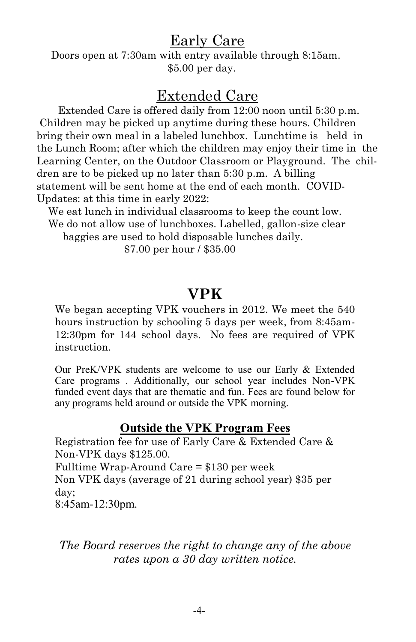#### Early Care

 Doors open at 7:30am with entry available through 8:15am. \$5.00 per day.

#### Extended Care

Extended Care is offered daily from 12:00 noon until 5:30 p.m. Children may be picked up anytime during these hours. Children bring their own meal in a labeled lunchbox. Lunchtime is held in the Lunch Room; after which the children may enjoy their time in the Learning Center, on the Outdoor Classroom or Playground. The children are to be picked up no later than 5:30 p.m. A billing statement will be sent home at the end of each month. COVID-Updates: at this time in early 2022:

 We eat lunch in individual classrooms to keep the count low. We do not allow use of lunchboxes. Labelled, gallon-size clear

baggies are used to hold disposable lunches daily.

\$7.00 per hour / \$35.00

#### **VPK**

We began accepting VPK vouchers in 2012. We meet the 540 hours instruction by schooling 5 days per week, from 8:45am-12:30pm for 144 school days. No fees are required of VPK instruction.

Our PreK/VPK students are welcome to use our Early & Extended Care programs . Additionally, our school year includes Non-VPK funded event days that are thematic and fun. Fees are found below for any programs held around or outside the VPK morning.

#### **Outside the VPK Program Fees**

Registration fee for use of Early Care & Extended Care & Non-VPK days \$125.00.

Fulltime Wrap-Around Care = \$130 per week

Non VPK days (average of 21 during school year) \$35 per day;

8:45am-12:30pm.

*The Board reserves the right to change any of the above rates upon a 30 day written notice.*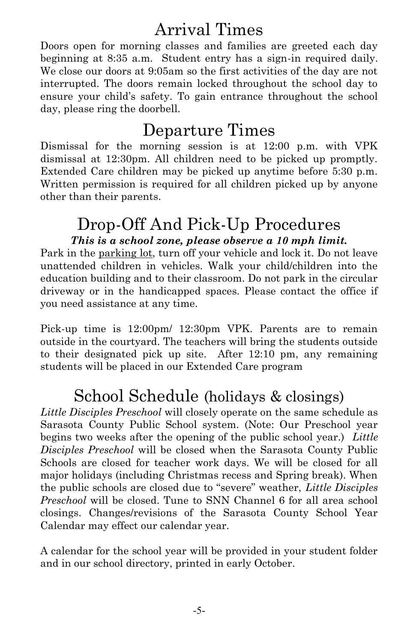## Arrival Times

Doors open for morning classes and families are greeted each day beginning at 8:35 a.m. Student entry has a sign-in required daily. We close our doors at 9:05am so the first activities of the day are not interrupted. The doors remain locked throughout the school day to ensure your child's safety. To gain entrance throughout the school day, please ring the doorbell.

## Departure Times

Dismissal for the morning session is at 12:00 p.m. with VPK dismissal at 12:30pm. All children need to be picked up promptly. Extended Care children may be picked up anytime before 5:30 p.m. Written permission is required for all children picked up by anyone other than their parents.

#### Drop-Off And Pick-Up Procedures *This is a school zone, please observe a 10 mph limit.*

Park in the parking lot, turn off your vehicle and lock it. Do not leave unattended children in vehicles. Walk your child/children into the education building and to their classroom. Do not park in the circular driveway or in the handicapped spaces. Please contact the office if you need assistance at any time.

Pick-up time is 12:00pm/ 12:30pm VPK. Parents are to remain outside in the courtyard. The teachers will bring the students outside to their designated pick up site. After 12:10 pm, any remaining students will be placed in our Extended Care program

## School Schedule (holidays & closings)

*Little Disciples Preschool* will closely operate on the same schedule as Sarasota County Public School system. (Note: Our Preschool year begins two weeks after the opening of the public school year.) *Little Disciples Preschool* will be closed when the Sarasota County Public Schools are closed for teacher work days. We will be closed for all major holidays (including Christmas recess and Spring break). When the public schools are closed due to "severe" weather, *Little Disciples Preschool* will be closed. Tune to SNN Channel 6 for all area school closings. Changes/revisions of the Sarasota County School Year Calendar may effect our calendar year.

A calendar for the school year will be provided in your student folder and in our school directory, printed in early October.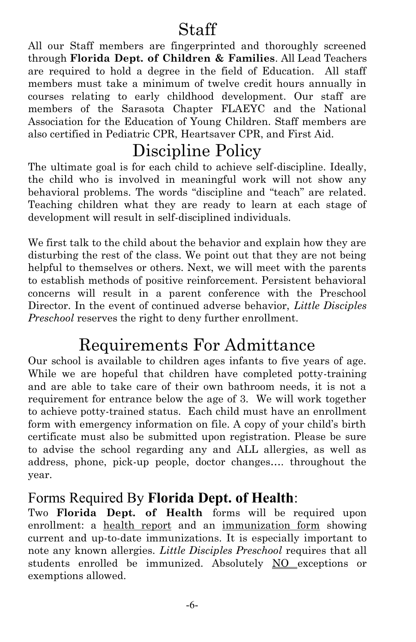## Staff

All our Staff members are fingerprinted and thoroughly screened through **Florida Dept. of Children & Families**. All Lead Teachers are required to hold a degree in the field of Education. All staff members must take a minimum of twelve credit hours annually in courses relating to early childhood development. Our staff are members of the Sarasota Chapter FLAEYC and the National Association for the Education of Young Children. Staff members are also certified in Pediatric CPR, Heartsaver CPR, and First Aid.

## Discipline Policy

The ultimate goal is for each child to achieve self-discipline. Ideally, the child who is involved in meaningful work will not show any behavioral problems. The words "discipline and "teach" are related. Teaching children what they are ready to learn at each stage of development will result in self-disciplined individuals.

We first talk to the child about the behavior and explain how they are disturbing the rest of the class. We point out that they are not being helpful to themselves or others. Next, we will meet with the parents to establish methods of positive reinforcement. Persistent behavioral concerns will result in a parent conference with the Preschool Director. In the event of continued adverse behavior, *Little Disciples Preschool* reserves the right to deny further enrollment.

## Requirements For Admittance

Our school is available to children ages infants to five years of age. While we are hopeful that children have completed potty-training and are able to take care of their own bathroom needs, it is not a requirement for entrance below the age of 3. We will work together to achieve potty-trained status. Each child must have an enrollment form with emergency information on file. A copy of your child's birth certificate must also be submitted upon registration. Please be sure to advise the school regarding any and ALL allergies, as well as address, phone, pick-up people, doctor changes…. throughout the year.

#### Forms Required By **Florida Dept. of Health**:

Two **Florida Dept. of Health** forms will be required upon enrollment: a health report and an immunization form showing current and up-to-date immunizations. It is especially important to note any known allergies. *Little Disciples Preschool* requires that all students enrolled be immunized. Absolutely NO exceptions or exemptions allowed.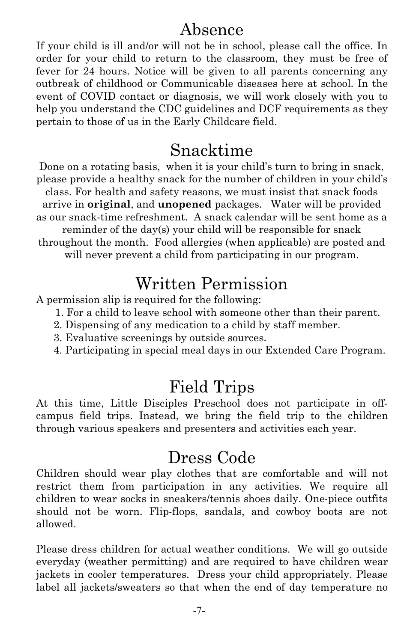#### Absence

If your child is ill and/or will not be in school, please call the office. In order for your child to return to the classroom, they must be free of fever for 24 hours. Notice will be given to all parents concerning any outbreak of childhood or Communicable diseases here at school. In the event of COVID contact or diagnosis, we will work closely with you to help you understand the CDC guidelines and DCF requirements as they pertain to those of us in the Early Childcare field.

#### Snacktime

Done on a rotating basis, when it is your child's turn to bring in snack, please provide a healthy snack for the number of children in your child's class. For health and safety reasons, we must insist that snack foods arrive in **original**, and **unopened** packages. Water will be provided as our snack-time refreshment. A snack calendar will be sent home as a reminder of the day(s) your child will be responsible for snack throughout the month. Food allergies (when applicable) are posted and will never prevent a child from participating in our program.

## Written Permission

A permission slip is required for the following:

- 1. For a child to leave school with someone other than their parent.
- 2. Dispensing of any medication to a child by staff member.
- 3. Evaluative screenings by outside sources.
- 4. Participating in special meal days in our Extended Care Program.

#### Field Trips

At this time, Little Disciples Preschool does not participate in offcampus field trips. Instead, we bring the field trip to the children through various speakers and presenters and activities each year.

### Dress Code

Children should wear play clothes that are comfortable and will not restrict them from participation in any activities. We require all children to wear socks in sneakers/tennis shoes daily. One-piece outfits should not be worn. Flip-flops, sandals, and cowboy boots are not allowed.

Please dress children for actual weather conditions. We will go outside everyday (weather permitting) and are required to have children wear jackets in cooler temperatures. Dress your child appropriately. Please label all jackets/sweaters so that when the end of day temperature no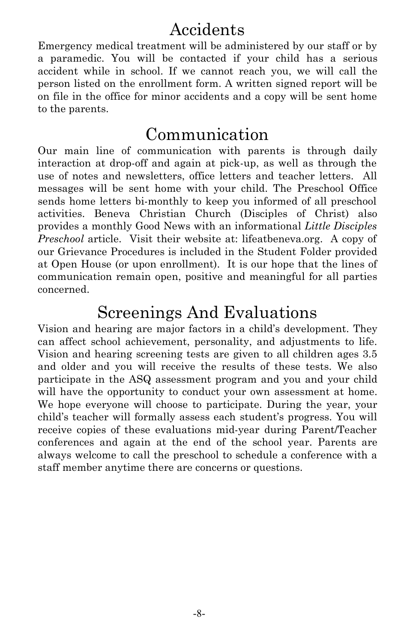## Accidents

Emergency medical treatment will be administered by our staff or by a paramedic. You will be contacted if your child has a serious accident while in school. If we cannot reach you, we will call the person listed on the enrollment form. A written signed report will be on file in the office for minor accidents and a copy will be sent home to the parents.

#### Communication

Our main line of communication with parents is through daily interaction at drop-off and again at pick-up, as well as through the use of notes and newsletters, office letters and teacher letters. All messages will be sent home with your child. The Preschool Office sends home letters bi-monthly to keep you informed of all preschool activities. Beneva Christian Church (Disciples of Christ) also provides a monthly Good News with an informational *Little Disciples Preschool* article. Visit their website at: lifeatbeneva.org. A copy of our Grievance Procedures is included in the Student Folder provided at Open House (or upon enrollment). It is our hope that the lines of communication remain open, positive and meaningful for all parties concerned.

#### Screenings And Evaluations

Vision and hearing are major factors in a child's development. They can affect school achievement, personality, and adjustments to life. Vision and hearing screening tests are given to all children ages 3.5 and older and you will receive the results of these tests. We also participate in the ASQ assessment program and you and your child will have the opportunity to conduct your own assessment at home. We hope everyone will choose to participate. During the year, your child's teacher will formally assess each student's progress. You will receive copies of these evaluations mid-year during Parent/Teacher conferences and again at the end of the school year. Parents are always welcome to call the preschool to schedule a conference with a staff member anytime there are concerns or questions.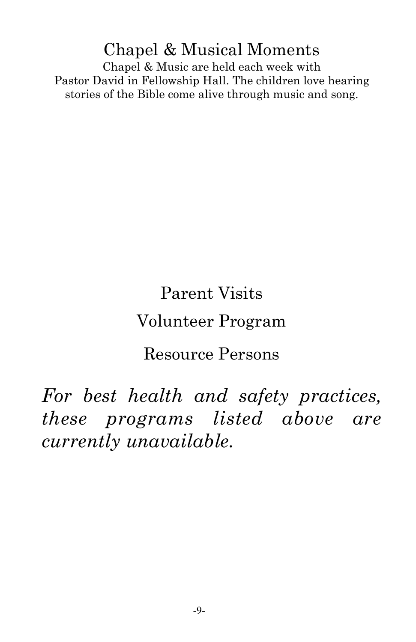Chapel & Musical Moments Chapel & Music are held each week with Pastor David in Fellowship Hall. The children love hearing stories of the Bible come alive through music and song.

## Parent Visits Volunteer Program

## Resource Persons

*For best health and safety practices, these programs listed above are currently unavailable.*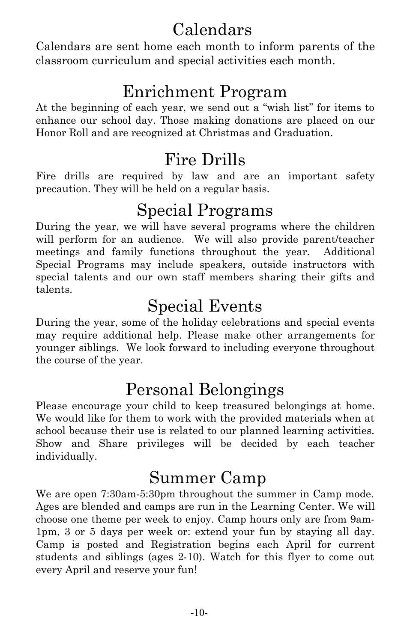## Calendars

Calendars are sent home each month to inform parents of the classroom curriculum and special activities each month.

## Enrichment Program

At the beginning of each year, we send out a "wish list" for items to enhance our school day. Those making donations are placed on our Honor Roll and are recognized at Christmas and Graduation.

## Fire Drills

Fire drills are required by law and are an important safety precaution. They will be held on a regular basis.

## Special Programs

During the year, we will have several programs where the children will perform for an audience. We will also provide parent/teacher meetings and family functions throughout the year. Additional Special Programs may include speakers, outside instructors with special talents and our own staff members sharing their gifts and talents.

## Special Events

During the year, some of the holiday celebrations and special events may require additional help. Please make other arrangements for younger siblings. We look forward to including everyone throughout the course of the year.

## Personal Belongings

Please encourage your child to keep treasured belongings at home. We would like for them to work with the provided materials when at school because their use is related to our planned learning activities. Show and Share privileges will be decided by each teacher individually.

## Summer Camp

We are open 7:30am-5:30pm throughout the summer in Camp mode. Ages are blended and camps are run in the Learning Center. We will choose one theme per week to enjoy. Camp hours only are from 9am-1pm, 3 or 5 days per week or: extend your fun by staying all day. Camp is posted and Registration begins each April for current students and siblings (ages 2-10). Watch for this flyer to come out every April and reserve your fun!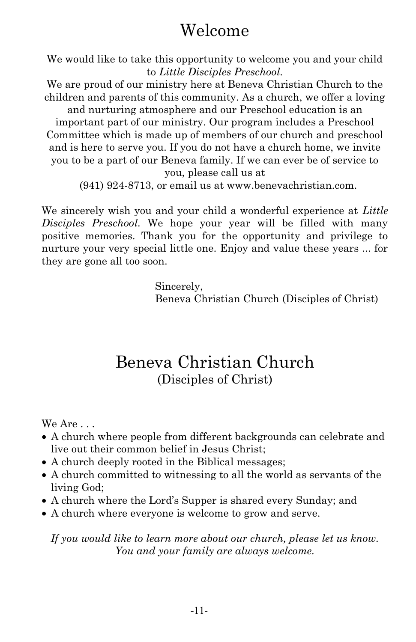## Welcome

We would like to take this opportunity to welcome you and your child to *Little Disciples Preschool.* 

We are proud of our ministry here at Beneva Christian Church to the children and parents of this community. As a church, we offer a loving

and nurturing atmosphere and our Preschool education is an important part of our ministry. Our program includes a Preschool Committee which is made up of members of our church and preschool and is here to serve you. If you do not have a church home, we invite you to be a part of our Beneva family. If we can ever be of service to you, please call us at

(941) 924-8713, or email us at www.benevachristian.com.

We sincerely wish you and your child a wonderful experience at *Little Disciples Preschool.* We hope your year will be filled with many positive memories. Thank you for the opportunity and privilege to nurture your very special little one. Enjoy and value these years ... for they are gone all too soon.

> Sincerely, Beneva Christian Church (Disciples of Christ)

#### Beneva Christian Church (Disciples of Christ)

We Are . . .

- A church where people from different backgrounds can celebrate and live out their common belief in Jesus Christ;
- A church deeply rooted in the Biblical messages;
- A church committed to witnessing to all the world as servants of the living God;
- A church where the Lord's Supper is shared every Sunday; and
- A church where everyone is welcome to grow and serve.

*If you would like to learn more about our church, please let us know. You and your family are always welcome.*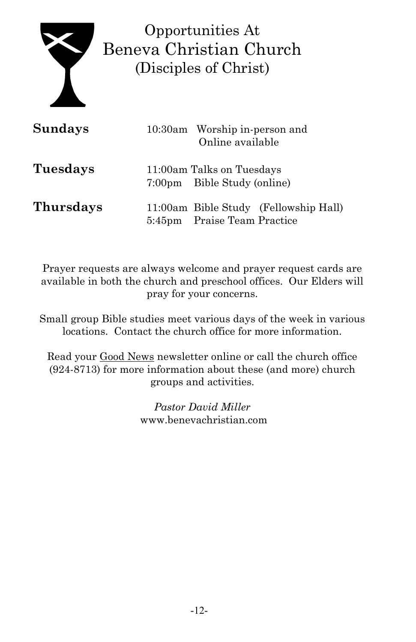

Opportunities At Beneva Christian Church (Disciples of Christ)

| <b>Sundays</b>   | 10:30am Worship in-person and<br>Online available        |                                       |  |
|------------------|----------------------------------------------------------|---------------------------------------|--|
| Tuesdays         | 11:00am Talks on Tuesdays<br>7:00pm Bible Study (online) |                                       |  |
| <b>Thursdays</b> | 5:45pm Praise Team Practice                              | 11:00am Bible Study (Fellowship Hall) |  |

Prayer requests are always welcome and prayer request cards are available in both the church and preschool offices. Our Elders will pray for your concerns.

Small group Bible studies meet various days of the week in various locations. Contact the church office for more information.

Read your Good News newsletter online or call the church office (924-8713) for more information about these (and more) church groups and activities.

> *Pastor David Miller*  www.benevachristian.com